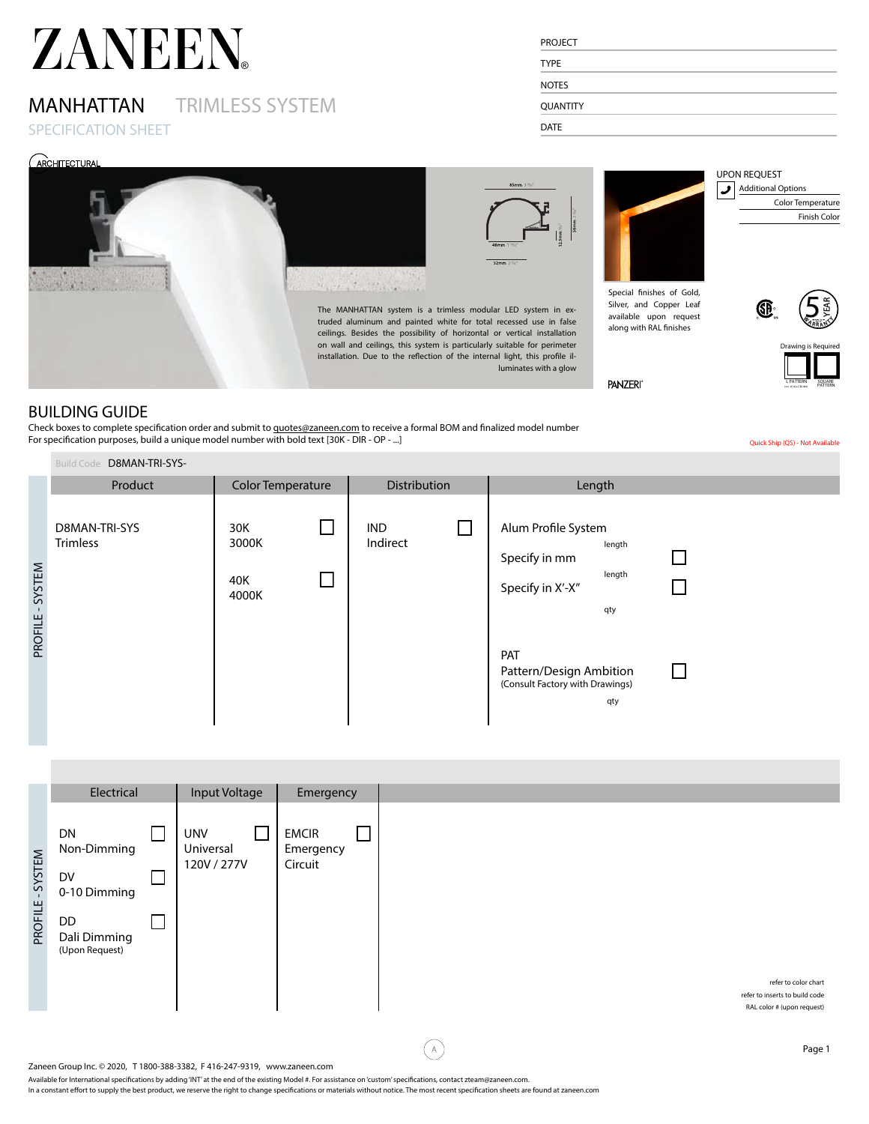## MANHATTAN TRIMLESS SYSTEM

SPECIFICATION SHEET

| <b>PROJECT</b>  |  |  |  |
|-----------------|--|--|--|
| <b>TYPE</b>     |  |  |  |
| <b>NOTES</b>    |  |  |  |
| <b>QUANTITY</b> |  |  |  |
| <b>DATE</b>     |  |  |  |



# $\frac{15\text{mm} \text{ W}^2}{56\text{mm} \ 2.2\%}$

luminates with a glow

Special finishes of Gold,



Silver, and Copper Leaf available upon request along with RAL finishes

 $\overline{\mathbf{5}}$ YEAR A <sup>R</sup> <sup>R</sup> <sup>A</sup> <sup>N</sup> <sup>T</sup> rs @ 70% Y

UPON REQUEST

**PANZERI** 

#### Drawing is Required SQUARE PATTERN <sup>L</sup> PATTERN (incl. W ALL/CEILING)

Color Temperature Finish Color

Quick Ship (QS) - Not Available

### BUILDING GUIDE

Check boxes to complete specification order and submit to quotes@zaneen.com to receive a formal BOM and finalized model number For specification purposes, build a unique model number with bold text [30K - DIR - OP - ...]

|                   | D8MAN-TRI-SYS-<br><b>Build Code</b> |                              |                        |                                                                                                                                                                            |  |
|-------------------|-------------------------------------|------------------------------|------------------------|----------------------------------------------------------------------------------------------------------------------------------------------------------------------------|--|
|                   | Product                             | Color Temperature            | Distribution           | Length                                                                                                                                                                     |  |
| SYSTEM<br>PROFILE | D8MAN-TRI-SYS<br><b>Trimless</b>    | 30K<br>3000K<br>40K<br>4000K | <b>IND</b><br>Indirect | Alum Profile System<br>length<br>Specify in mm<br>length<br>Specify in X'-X"<br>qty<br>PAT<br>Pattern/Design Ambition<br>$\perp$<br>(Consult Factory with Drawings)<br>qty |  |

|                  | Electrical                              | Input Voltage                          | Emergency                            |
|------------------|-----------------------------------------|----------------------------------------|--------------------------------------|
| PROFILE - SYSTEM | DN<br>Non-Dimming<br>DV<br>0-10 Dimming | <b>UNV</b><br>Universal<br>120V / 277V | <b>EMCIR</b><br>Emergency<br>Circuit |
|                  | DD<br>Dali Dimming<br>(Upon Request)    |                                        |                                      |

 $\mathbb A$ 

Available for International specifications by adding 'INT' at the end of the existing Model #. For assistance on 'custom' specifications, contact zteam@zaneen.com.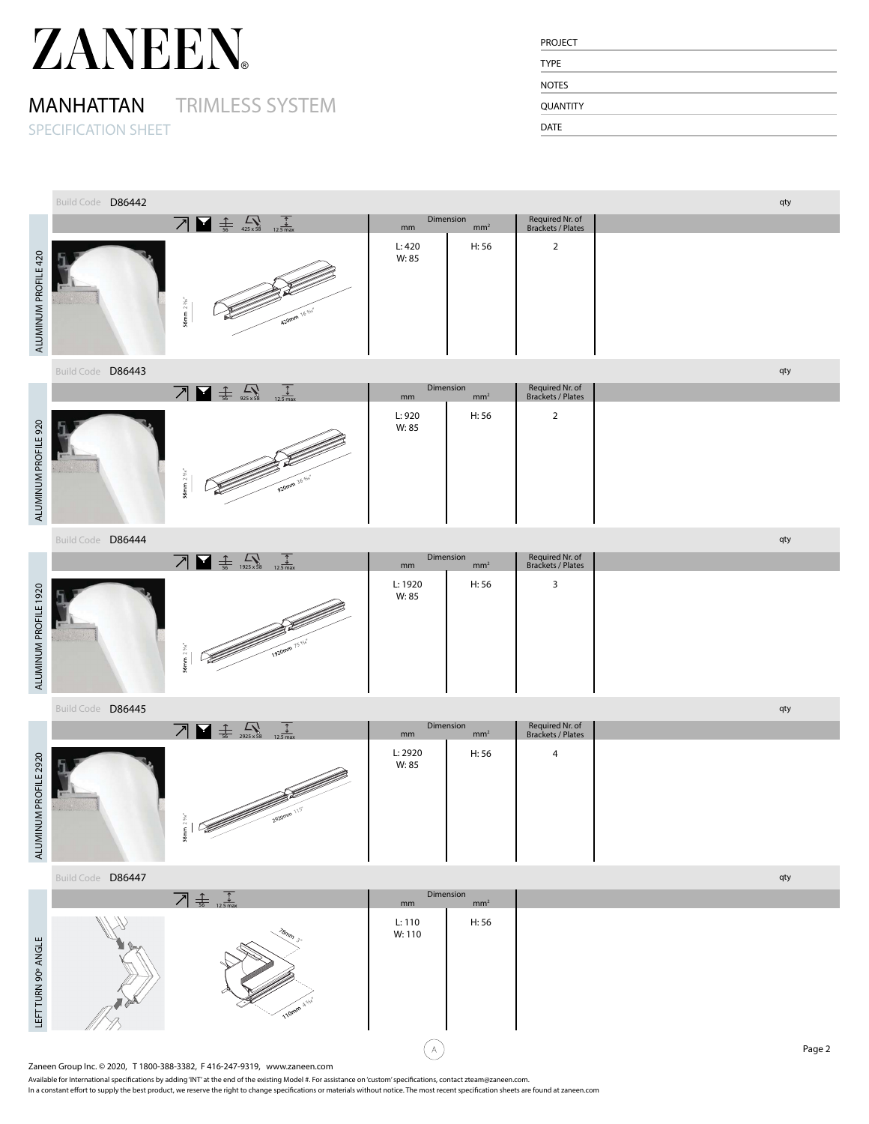## MANHATTAN TRIMLESS SYSTEM

SPECIFICATION SHEET

| <b>PROJECT</b>  |  |  |  |
|-----------------|--|--|--|
| <b>TYPE</b>     |  |  |  |
| <b>NOTES</b>    |  |  |  |
| <b>QUANTITY</b> |  |  |  |
| <b>DATE</b>     |  |  |  |

|                       | Build Code D86442                                                                                                                                                                                                                                                                                                                                               |  |                                                            |                                                                                                                                                                                                                                                                                                                                                                                                                                                                                 |                                                                           |  |                  |                              |                                             |  | qty |        |
|-----------------------|-----------------------------------------------------------------------------------------------------------------------------------------------------------------------------------------------------------------------------------------------------------------------------------------------------------------------------------------------------------------|--|------------------------------------------------------------|---------------------------------------------------------------------------------------------------------------------------------------------------------------------------------------------------------------------------------------------------------------------------------------------------------------------------------------------------------------------------------------------------------------------------------------------------------------------------------|---------------------------------------------------------------------------|--|------------------|------------------------------|---------------------------------------------|--|-----|--------|
|                       |                                                                                                                                                                                                                                                                                                                                                                 |  |                                                            | $\overline{\phantom{a}}$ $\overline{\phantom{a}}$ $\overline{\phantom{a}}$ $\overline{\phantom{a}}$ $\overline{\phantom{a}}$ $\overline{\phantom{a}}$ $\overline{\phantom{a}}$ $\overline{\phantom{a}}$ $\overline{\phantom{a}}$ $\overline{\phantom{a}}$ $\overline{\phantom{a}}$ $\overline{\phantom{a}}$ $\overline{\phantom{a}}$ $\overline{\phantom{a}}$ $\overline{\phantom{a}}$ $\overline{\phantom{a}}$ $\overline{\phantom{a}}$ $\overline{\phantom{a}}$ $\overline{\$ |                                                                           |  | mm               | Dimension<br>mm <sup>2</sup> | Required Nr. of<br><b>Brackets / Plates</b> |  |     |        |
| ALUMINUM PROFILE 420  |                                                                                                                                                                                                                                                                                                                                                                 |  | 56mm $2\,%$                                                |                                                                                                                                                                                                                                                                                                                                                                                                                                                                                 | 420mm 16 %                                                                |  | L:420<br>W: 85   | H:56                         | $\overline{2}$                              |  |     |        |
|                       | Build Code D86443                                                                                                                                                                                                                                                                                                                                               |  |                                                            |                                                                                                                                                                                                                                                                                                                                                                                                                                                                                 |                                                                           |  |                  |                              |                                             |  | qty |        |
|                       |                                                                                                                                                                                                                                                                                                                                                                 |  |                                                            | $\overline{\phantom{a}}$ $\overline{\phantom{a}}$ $\overline{\phantom{a}}$ $\overline{\phantom{a}}$ $\overline{\phantom{a}}$ $\overline{\phantom{a}}$ $\overline{\phantom{a}}$ $\overline{\phantom{a}}$ $\overline{\phantom{a}}$ $\overline{\phantom{a}}$ $\overline{\phantom{a}}$ $\overline{\phantom{a}}$ $\overline{\phantom{a}}$ $\overline{\phantom{a}}$ $\overline{\phantom{a}}$ $\overline{\phantom{a}}$ $\overline{\phantom{a}}$ $\overline{\phantom{a}}$ $\overline{\$ | $\frac{1}{12.5 \text{ max}}$                                              |  | mm               | Dimension<br>mm <sup>2</sup> | Required Nr. of<br><b>Brackets / Plates</b> |  |     |        |
| ALUMINUM PROFILE 920  |                                                                                                                                                                                                                                                                                                                                                                 |  | 56mm $2\,\%^o$                                             | <b>CONTROLLATION REPORTER</b>                                                                                                                                                                                                                                                                                                                                                                                                                                                   |                                                                           |  | L: 920<br>W: 85  | H: 56                        | $\overline{2}$                              |  |     |        |
|                       | Build Code D86444                                                                                                                                                                                                                                                                                                                                               |  |                                                            |                                                                                                                                                                                                                                                                                                                                                                                                                                                                                 |                                                                           |  |                  |                              |                                             |  | qty |        |
|                       |                                                                                                                                                                                                                                                                                                                                                                 |  |                                                            | $\overline{\phantom{a}}$ $\overline{\phantom{a}}$ $\overline{\phantom{a}}$ $\overline{\phantom{a}}$ $\overline{\phantom{a}}$ $\overline{\phantom{a}}$ $\overline{\phantom{a}}$ $\overline{\phantom{a}}$ $\overline{\phantom{a}}$ $\overline{\phantom{a}}$ $\overline{\phantom{a}}$ $\overline{\phantom{a}}$ $\overline{\phantom{a}}$ $\overline{\phantom{a}}$ $\overline{\phantom{a}}$ $\overline{\phantom{a}}$ $\overline{\phantom{a}}$ $\overline{\phantom{a}}$ $\overline{\$ | $\frac{1}{12.5 \text{ max}}$                                              |  | mm               | Dimension<br>mm <sup>2</sup> | Required Nr. of<br>Brackets / Plates        |  |     |        |
| ALUMINUM PROFILE 1920 |                                                                                                                                                                                                                                                                                                                                                                 |  | 56mm $2\frac{y}{x}$                                        | <u>J</u>                                                                                                                                                                                                                                                                                                                                                                                                                                                                        | 1920mm 75%                                                                |  | L: 1920<br>W: 85 | H: 56                        | 3                                           |  |     |        |
|                       | Build Code D86445                                                                                                                                                                                                                                                                                                                                               |  |                                                            |                                                                                                                                                                                                                                                                                                                                                                                                                                                                                 |                                                                           |  |                  |                              |                                             |  | qty |        |
|                       |                                                                                                                                                                                                                                                                                                                                                                 |  |                                                            | $\overline{\phantom{a}}$ $\overline{\phantom{a}}$ $\overline{\phantom{a}}$ $\overline{\phantom{a}}$ $\overline{\phantom{a}}$ $\overline{\phantom{a}}$ $\overline{\phantom{a}}$ $\overline{\phantom{a}}$ $\overline{\phantom{a}}$ $\overline{\phantom{a}}$ $\overline{\phantom{a}}$ $\overline{\phantom{a}}$ $\overline{\phantom{a}}$ $\overline{\phantom{a}}$ $\overline{\phantom{a}}$ $\overline{\phantom{a}}$ $\overline{\phantom{a}}$ $\overline{\phantom{a}}$ $\overline{\$ | $\frac{1}{12.5 \text{ max}}$                                              |  | $\mathsf{mm}$    | Dimension<br>mm <sup>2</sup> | Required Nr. of<br>Brackets / Plates        |  |     |        |
| ALUMINUM PROFILE 2920 |                                                                                                                                                                                                                                                                                                                                                                 |  |                                                            | $\frac{1}{2}$                                                                                                                                                                                                                                                                                                                                                                                                                                                                   | 2920mm 115"                                                               |  | L: 2920<br>W: 85 | H: 56                        | $\overline{4}$                              |  |     |        |
|                       | Build Code D86447                                                                                                                                                                                                                                                                                                                                               |  |                                                            |                                                                                                                                                                                                                                                                                                                                                                                                                                                                                 |                                                                           |  |                  |                              |                                             |  | qty |        |
|                       |                                                                                                                                                                                                                                                                                                                                                                 |  | $\overline{Z}$ $\frac{1}{56}$ $\frac{1}{12.5 \text{ max}}$ |                                                                                                                                                                                                                                                                                                                                                                                                                                                                                 |                                                                           |  | mm               | Dimension<br>mm <sup>2</sup> |                                             |  |     |        |
| LEFT TURN 90° ANGLE   |                                                                                                                                                                                                                                                                                                                                                                 |  |                                                            |                                                                                                                                                                                                                                                                                                                                                                                                                                                                                 | 110mm                                                                     |  | L: 110<br>W: 110 | H: 56                        |                                             |  |     |        |
|                       |                                                                                                                                                                                                                                                                                                                                                                 |  |                                                            |                                                                                                                                                                                                                                                                                                                                                                                                                                                                                 |                                                                           |  | А                |                              |                                             |  |     | Page 2 |
|                       |                                                                                                                                                                                                                                                                                                                                                                 |  |                                                            |                                                                                                                                                                                                                                                                                                                                                                                                                                                                                 | Zaneen Group Inc. © 2020, T 1800-388-3382, F 416-247-9319, www.zaneen.com |  |                  |                              |                                             |  |     |        |
|                       | Available for International specifications by adding 'INT' at the end of the existing Model #. For assistance on 'custom' specifications, contact zteam@zaneen.com.<br>In a constant effort to supply the best product, we reserve the right to change specifications or materials without notice. The most recent specification sheets are found at zaneen.com |  |                                                            |                                                                                                                                                                                                                                                                                                                                                                                                                                                                                 |                                                                           |  |                  |                              |                                             |  |     |        |

|                       | $\frac{1}{56}$<br>$12.\overline{5 \text{ max}}$<br>$1925 \times 58$ | Dimension<br>mm  | mm <sup>2</sup> | Required Nr. of<br>Brackets / Plates |  |
|-----------------------|---------------------------------------------------------------------|------------------|-----------------|--------------------------------------|--|
| ALUMINUM PROFILE 1920 |                                                                     | L: 1920<br>W: 85 | H: 56           |                                      |  |

|                          | D86445<br><b>Build Code</b> |                                                           |                  |                 |                                      | qty |
|--------------------------|-----------------------------|-----------------------------------------------------------|------------------|-----------------|--------------------------------------|-----|
|                          |                             | $\overline{\phantom{a}}$<br>$12.\overline{5 \text{ max}}$ | Dimension<br>mm  | mm <sup>2</sup> | Required Nr. of<br>Brackets / Plates |     |
| UMINUM PROFILE 2920<br>₹ |                             |                                                           | L: 2920<br>W: 85 | H: 56           | 4                                    |     |

|                     | Build Code D86447          |                  |                              | qty            |
|---------------------|----------------------------|------------------|------------------------------|----------------|
|                     | 寺<br>$12.5 \,\mathrm{max}$ | mm               | Dimension<br>mm <sup>2</sup> |                |
| LEFT TURN 90° ANGLE |                            | L: 110<br>W: 110 | H: 56                        |                |
|                     |                            |                  |                              | D <sub>1</sub> |

Available for International specifications by adding 'INT' at the end of the existing Model #. For assistance on 'custom' specifications, contact zteam@zaneen.com.<br>In a constant effort to supply the best product, we reserv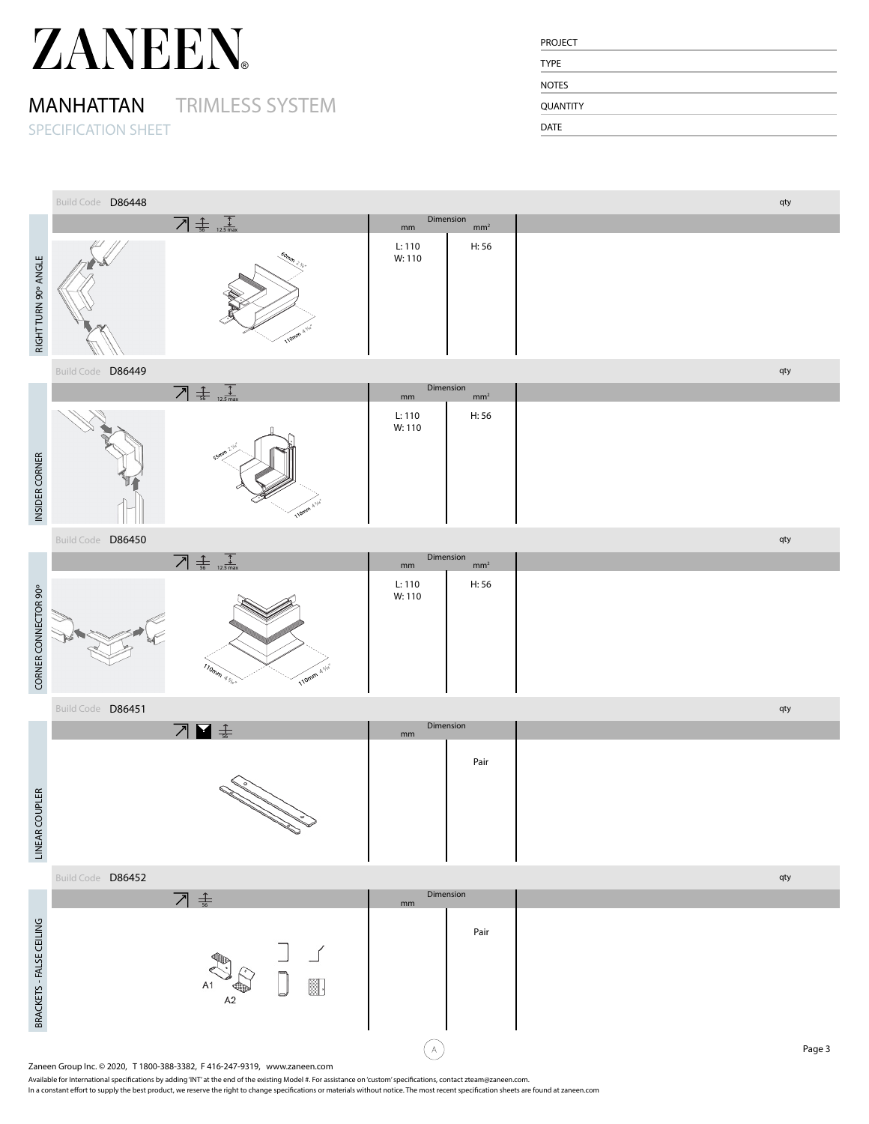### MANHATTAN TRIMLESS SYSTEM

SPECIFICATION SHEET

| <b>PROJECT</b>  |  |  |
|-----------------|--|--|
| <b>TYPE</b>     |  |  |
| <b>NOTES</b>    |  |  |
| <b>QUANTITY</b> |  |  |
| <b>DATE</b>     |  |  |

|                          | Build Code D86448 |                                                                                                                                                                                                                                                                                                                                                                 | Dimension                                     | qty    |
|--------------------------|-------------------|-----------------------------------------------------------------------------------------------------------------------------------------------------------------------------------------------------------------------------------------------------------------------------------------------------------------------------------------------------------------|-----------------------------------------------|--------|
|                          |                   | $\overline{\bigwedge}$ $\frac{1}{56}$ $\frac{1}{12.5 \text{ max}}$                                                                                                                                                                                                                                                                                              | mm <sup>2</sup><br>mm                         |        |
| RIGHT TURN 90° ANGLE     |                   | 110mm                                                                                                                                                                                                                                                                                                                                                           | H: 56<br>L: 110<br>W: 110                     |        |
|                          | Build Code D86449 |                                                                                                                                                                                                                                                                                                                                                                 |                                               | qty    |
|                          |                   | $\boxed{\phantom{1}}$ $\frac{1}{56}$ $\frac{1}{12.5}$ max                                                                                                                                                                                                                                                                                                       | Dimension<br>mm <sup>2</sup><br>mm            |        |
|                          |                   |                                                                                                                                                                                                                                                                                                                                                                 | H: 56<br>L: 110                               |        |
| INSIDER CORNER           |                   | 110mm                                                                                                                                                                                                                                                                                                                                                           | W:110                                         |        |
|                          | Build Code D86450 |                                                                                                                                                                                                                                                                                                                                                                 |                                               | qty    |
|                          |                   | $\boxed{\phantom{+}}$ $\frac{1}{56}$ $\frac{1}{12.5}$ max                                                                                                                                                                                                                                                                                                       | Dimension<br>mm <sup>2</sup><br>$\mathsf{mm}$ |        |
| CORNER CONNECTOR 90°     |                   | $\eta_{\eta_{\eta_{\eta}}}$<br>110mm 4 stvs                                                                                                                                                                                                                                                                                                                     | H: 56<br>L: 110<br>W: 110                     |        |
|                          | Build Code D86451 |                                                                                                                                                                                                                                                                                                                                                                 |                                               | qty    |
|                          |                   | 刁■ ≢                                                                                                                                                                                                                                                                                                                                                            | Dimension<br>mm                               |        |
| LINEAR COUPLER           |                   |                                                                                                                                                                                                                                                                                                                                                                 | Pair                                          |        |
|                          |                   |                                                                                                                                                                                                                                                                                                                                                                 |                                               |        |
|                          | Build Code D86452 |                                                                                                                                                                                                                                                                                                                                                                 |                                               | qty    |
|                          |                   | 기 놓                                                                                                                                                                                                                                                                                                                                                             | Dimension<br>mm                               |        |
| BRACKETS - FALSE CEILING |                   | ▓.<br>A2                                                                                                                                                                                                                                                                                                                                                        | Pair                                          |        |
|                          |                   |                                                                                                                                                                                                                                                                                                                                                                 | A                                             | Page 3 |
|                          |                   | Zaneen Group Inc. © 2020, T 1800-388-3382, F 416-247-9319, www.zaneen.com                                                                                                                                                                                                                                                                                       |                                               |        |
|                          |                   | Available for International specifications by adding 'INT' at the end of the existing Model #. For assistance on 'custom' specifications, contact zteam@zaneen.com.<br>In a constant effort to supply the best product, we reserve the right to change specifications or materials without notice. The most recent specification sheets are found at zaneen.com |                                               |        |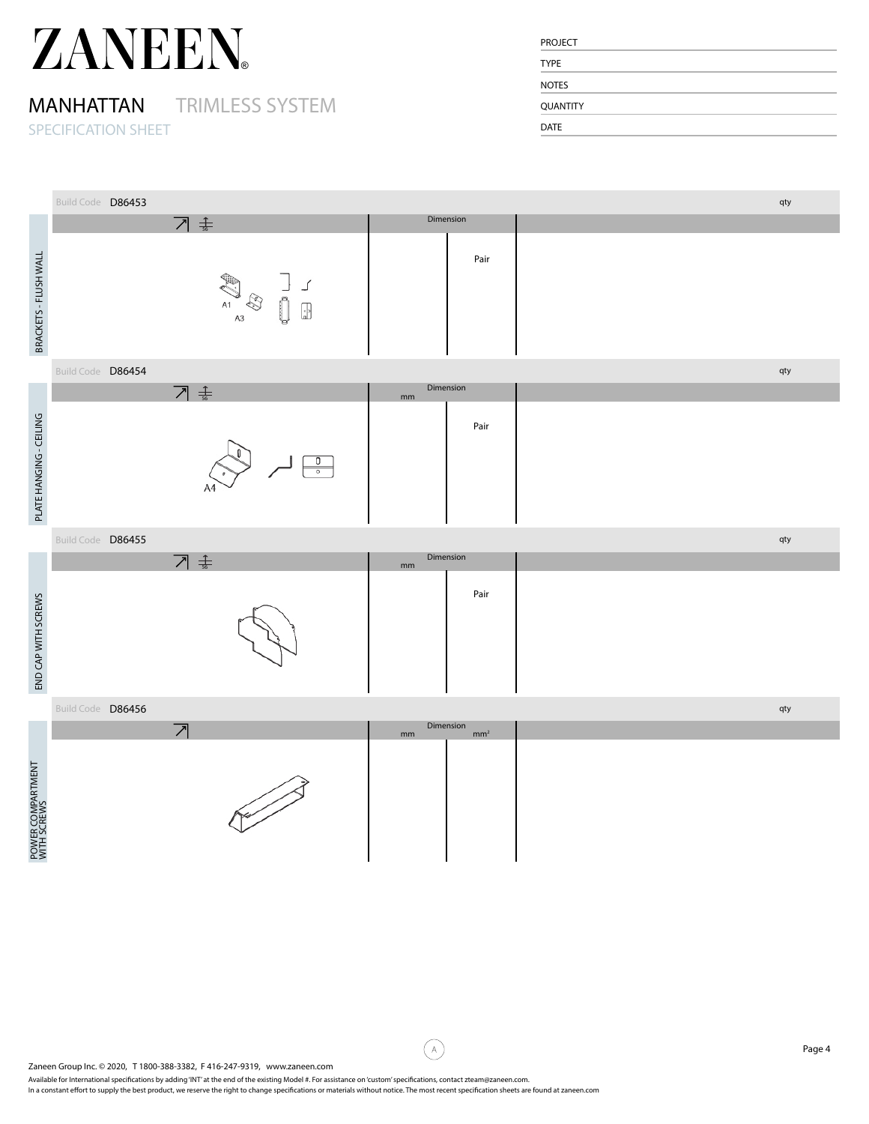### MANHATTAN TRIMLESS SYSTEM

SPECIFICATION SHEET

| <b>PROJECT</b>  |  |
|-----------------|--|
| <b>TYPE</b>     |  |
| <b>NOTES</b>    |  |
| <b>QUANTITY</b> |  |
| <b>DATE</b>     |  |

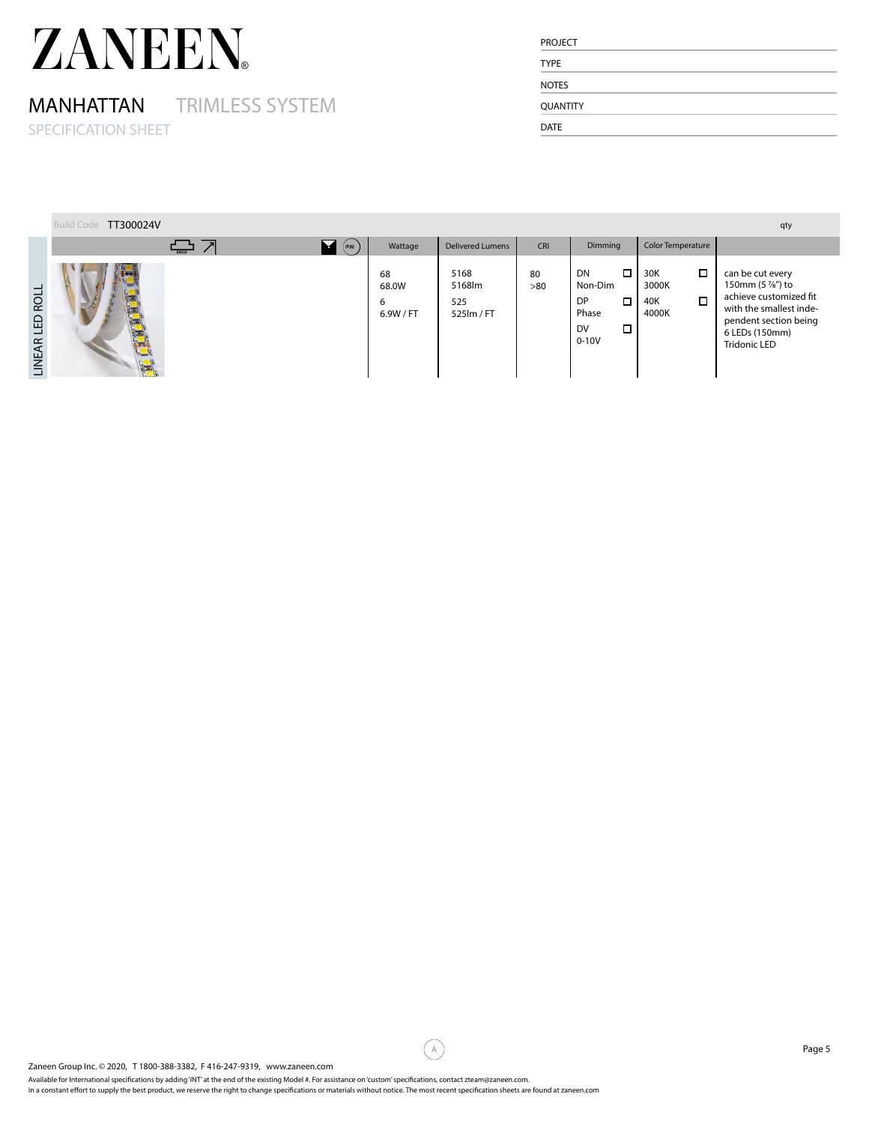## MANHATTAN TRIMLESS SYSTEM

SPECIFICATION SHEET

| <b>PROJECT</b>  |  |  |
|-----------------|--|--|
| <b>TYPE</b>     |  |  |
| <b>NOTES</b>    |  |  |
| <b>QUANTITY</b> |  |  |
| <b>DATE</b>     |  |  |

|                 | Build Code TT300024V |                                                                                                                                                                                                                                                                                                                                                                                                                                              |                               |                                     |           |                                                                                     |                                                  | qty                                                                                                                                                 |
|-----------------|----------------------|----------------------------------------------------------------------------------------------------------------------------------------------------------------------------------------------------------------------------------------------------------------------------------------------------------------------------------------------------------------------------------------------------------------------------------------------|-------------------------------|-------------------------------------|-----------|-------------------------------------------------------------------------------------|--------------------------------------------------|-----------------------------------------------------------------------------------------------------------------------------------------------------|
|                 |                      | - 고기<br>$\blacksquare$ (P20)                                                                                                                                                                                                                                                                                                                                                                                                                 | Wattage                       | <b>Delivered Lumens</b>             | CRI       | Dimming                                                                             | Color Temperature                                |                                                                                                                                                     |
| LINEAR LED ROLL |                      |                                                                                                                                                                                                                                                                                                                                                                                                                                              | 68<br>68.0W<br>6<br>6.9W / FT | 5168<br>5168lm<br>525<br>525lm / FT | 80<br>>80 | $\Box$<br>${\sf DN}$<br>Non-Dim<br>DP<br>$\Box$<br>Phase<br>DV<br>$\Box$<br>$0-10V$ | $\Box$<br>30K<br>3000K<br>$\Box$<br>40K<br>4000K | can be cut every<br>150mm (5 %") to<br>achieve customized fit<br>with the smallest inde-<br>pendent section being<br>6 LEDs (150mm)<br>Tridonic LED |
|                 |                      |                                                                                                                                                                                                                                                                                                                                                                                                                                              |                               |                                     |           |                                                                                     |                                                  |                                                                                                                                                     |
|                 |                      |                                                                                                                                                                                                                                                                                                                                                                                                                                              |                               |                                     |           |                                                                                     |                                                  |                                                                                                                                                     |
|                 |                      |                                                                                                                                                                                                                                                                                                                                                                                                                                              |                               |                                     |           |                                                                                     |                                                  |                                                                                                                                                     |
|                 |                      |                                                                                                                                                                                                                                                                                                                                                                                                                                              |                               |                                     |           |                                                                                     |                                                  |                                                                                                                                                     |
|                 |                      |                                                                                                                                                                                                                                                                                                                                                                                                                                              |                               |                                     |           |                                                                                     |                                                  |                                                                                                                                                     |
|                 |                      |                                                                                                                                                                                                                                                                                                                                                                                                                                              |                               |                                     |           |                                                                                     |                                                  |                                                                                                                                                     |
|                 |                      |                                                                                                                                                                                                                                                                                                                                                                                                                                              |                               |                                     |           |                                                                                     |                                                  |                                                                                                                                                     |
|                 |                      |                                                                                                                                                                                                                                                                                                                                                                                                                                              |                               |                                     |           |                                                                                     |                                                  |                                                                                                                                                     |
|                 |                      |                                                                                                                                                                                                                                                                                                                                                                                                                                              |                               |                                     |           |                                                                                     |                                                  |                                                                                                                                                     |
|                 |                      |                                                                                                                                                                                                                                                                                                                                                                                                                                              |                               |                                     |           |                                                                                     |                                                  |                                                                                                                                                     |
|                 |                      |                                                                                                                                                                                                                                                                                                                                                                                                                                              |                               |                                     |           |                                                                                     |                                                  |                                                                                                                                                     |
|                 |                      |                                                                                                                                                                                                                                                                                                                                                                                                                                              |                               |                                     |           |                                                                                     |                                                  |                                                                                                                                                     |
|                 |                      |                                                                                                                                                                                                                                                                                                                                                                                                                                              |                               |                                     |           |                                                                                     |                                                  |                                                                                                                                                     |
|                 |                      |                                                                                                                                                                                                                                                                                                                                                                                                                                              |                               |                                     |           |                                                                                     |                                                  |                                                                                                                                                     |
|                 |                      |                                                                                                                                                                                                                                                                                                                                                                                                                                              | $\mathbb A$                   |                                     |           |                                                                                     |                                                  | Page 5                                                                                                                                              |
|                 |                      | Zaneen Group Inc. © 2020, T 1800-388-3382, F 416-247-9319, www.zaneen.com<br>Available for International specifications by adding 'INT' at the end of the existing Model #. For assistance on 'custom' specifications, contact zteam@zaneen.com.<br>In a constant effort to supply the best product, we reserve the right to change specifications or materials without notice. The most recent specification sheets are found at zaneen.com |                               |                                     |           |                                                                                     |                                                  |                                                                                                                                                     |

Available for International specifications by adding 'INT' at the end of the existing Model #. For assistance on 'custom' specifications, contact zteam@zaneen.com.<br>In a constant effort to supply the best product, we reserv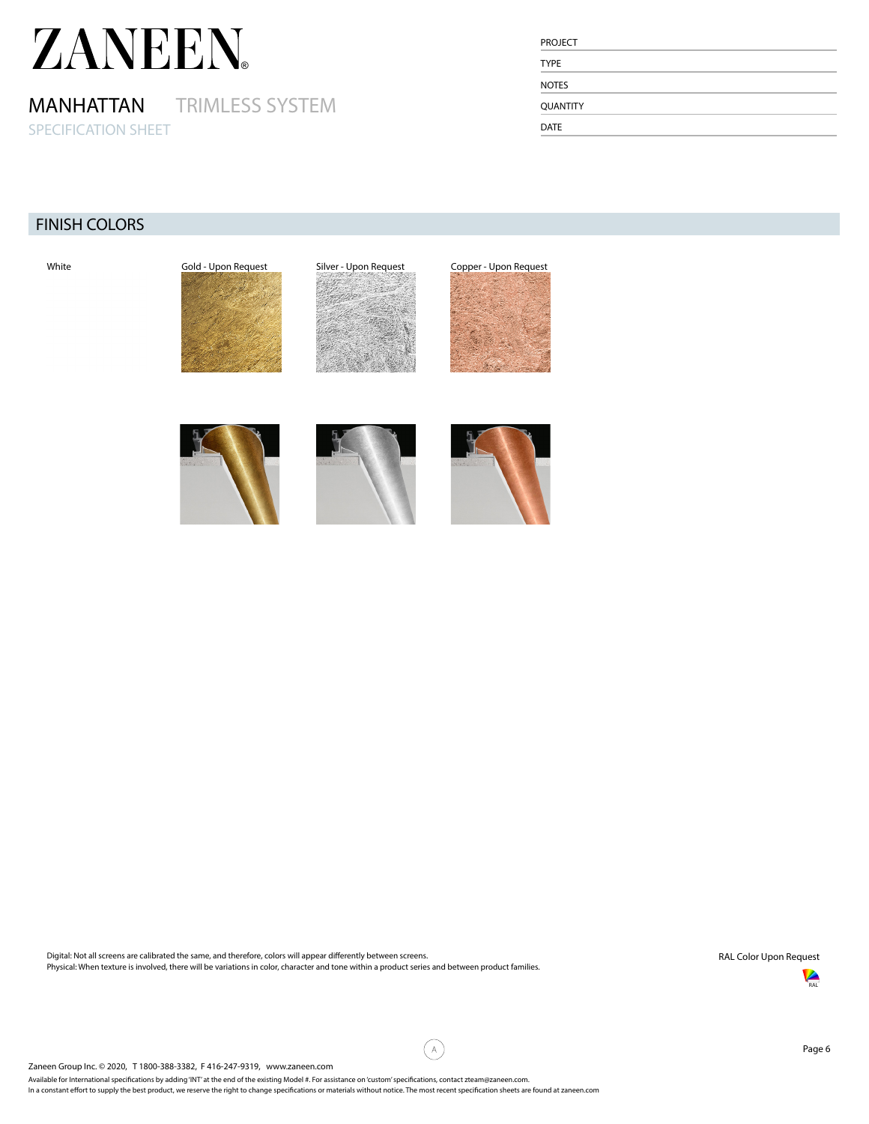MANHATTAN TRIMLESS SYSTEM SPECIFICATION SHEET

| <b>PROJECT</b>  |  |
|-----------------|--|
| <b>TYPE</b>     |  |
| <b>NOTES</b>    |  |
| <b>QUANTITY</b> |  |
| <b>DATE</b>     |  |

### FINISH COLORS



Digital: Not all screens are calibrated the same, and therefore, colors will appear differently between screens. Physical: When texture is involved, there will be variations in color, character and tone within a product series and between product families. RAL Color Upon Request



Available for International specifications by adding 'INT' at the end of the existing Model #. For assistance on 'custom' specifications, contact zteam@zaneen.com.

⊆A,`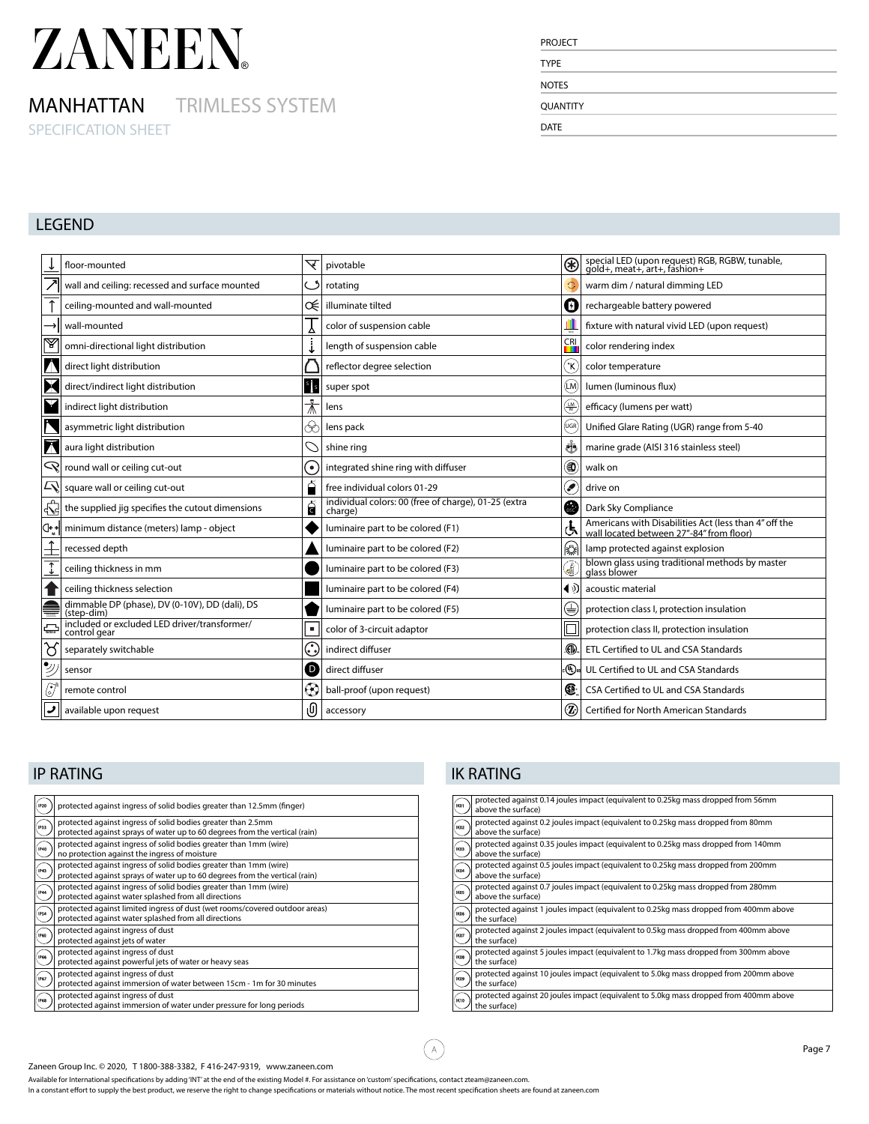### MANHATTAN TRIMLESS SYSTEM

SPECIFICATION SHEET

| <b>TYPE</b>  |  |  |
|--------------|--|--|
| <b>NOTES</b> |  |  |
| QUANTITY     |  |  |

### LEGEND

|                     | floor-mounted                                                | ▽                  | pivotable                                                       |                | special LED (upon request) RGB, RGBW, tunable, gold+, meat+, art+, fashion+                       |
|---------------------|--------------------------------------------------------------|--------------------|-----------------------------------------------------------------|----------------|---------------------------------------------------------------------------------------------------|
|                     | wall and ceiling: recessed and surface mounted               |                    | rotating                                                        |                | warm dim / natural dimming LED                                                                    |
|                     | ceiling-mounted and wall-mounted                             | ≪                  | illuminate tilted                                               | Ø              | rechargeable battery powered                                                                      |
|                     | wall-mounted                                                 |                    | color of suspension cable                                       |                | fixture with natural vivid LED (upon request)                                                     |
| y                   | omni-directional light distribution                          |                    | length of suspension cable                                      | $\frac{CR}{1}$ | color rendering index                                                                             |
|                     |                                                              |                    |                                                                 |                |                                                                                                   |
|                     | direct light distribution                                    |                    | reflector degree selection                                      | ĹΚ             | color temperature                                                                                 |
|                     | direct/indirect light distribution                           |                    | super spot                                                      | (LM)           | lumen (luminous flux)                                                                             |
|                     | indirect light distribution                                  |                    | lens                                                            | ⊕              | efficacy (lumens per watt)                                                                        |
|                     | asymmetric light distribution                                | $\rightsquigarrow$ | lens pack                                                       | (UGR           | Unified Glare Rating (UGR) range from 5-40                                                        |
|                     | aura light distribution                                      |                    | shine ring                                                      | க்             | marine grade (AISI 316 stainless steel)                                                           |
|                     | $\mathbb{Q}$ round wall or ceiling cut-out                   |                    | integrated shine ring with diffuser                             | 0              | walk on                                                                                           |
|                     | $ \mathcal{L}\rangle$ square wall or ceiling cut-out         |                    | free individual colors 01-29                                    | ۶              | drive on                                                                                          |
|                     | the supplied jig specifies the cutout dimensions             | ငြ                 | individual colors: 00 (free of charge), 01-25 (extra<br>charge) | ⋒              | Dark Sky Compliance                                                                               |
| ∣⊄•*                | minimum distance (meters) lamp - object                      |                    | luminaire part to be colored (F1)                               | لح             | Americans with Disabilities Act (less than 4" off the<br>wall located between 27"-84" from floor) |
|                     | recessed depth                                               |                    | luminaire part to be colored (F2)                               | 伀              | lamp protected against explosion                                                                  |
|                     | ceiling thickness in mm                                      |                    | luminaire part to be colored (F3)                               | 6              | blown glass using traditional methods by master<br>glass blower                                   |
|                     | ceiling thickness selection                                  |                    | luminaire part to be colored (F4)                               |                | $\left\{ \Phi\right\}$ acoustic material                                                          |
|                     | dimmable DP (phase), DV (0-10V), DD (dali), DS<br>(step-dim) |                    | luminaire part to be colored (F5)                               | ∖€             | protection class I, protection insulation                                                         |
|                     | included or excluded LED driver/transformer/<br>control gear |                    | color of 3-circuit adaptor                                      |                | protection class II, protection insulation                                                        |
| $\overline{\delta}$ | separately switchable                                        | . ما               | indirect diffuser                                               | ⋒              | ETL Certified to UL and CSA Standards                                                             |
| P                   | sensor                                                       | D                  | direct diffuser                                                 | ։(Պ)ա          | UL Certified to UL and CSA Standards                                                              |
| ٥                   | remote control                                               |                    | ball-proof (upon request)                                       | Œ              | CSA Certified to UL and CSA Standards                                                             |
|                     | available upon request                                       | O                  | accessory                                                       | ℗              | Certified for North American Standards                                                            |

| <b>P20</b>  | protected against ingress of solid bodies greater than 12.5mm (finger)                                                                           |
|-------------|--------------------------------------------------------------------------------------------------------------------------------------------------|
| <b>IP33</b> | protected against ingress of solid bodies greater than 2.5mm<br>protected against sprays of water up to 60 degrees from the vertical (rain)      |
| INO.        | protected against ingress of solid bodies greater than 1mm (wire)<br>no protection against the ingress of moisture                               |
| 'nв         | protected against ingress of solid bodies greater than 1mm (wire)<br>protected against sprays of water up to 60 degrees from the vertical (rain) |
| P44         | protected against ingress of solid bodies greater than 1mm (wire)<br>protected against water splashed from all directions                        |
| <b>P54</b>  | protected against limited ingress of dust (wet rooms/covered outdoor areas)<br>protected against water splashed from all directions              |
| .<br>PG     | protected against ingress of dust<br>protected against jets of water                                                                             |
| <b>P66</b>  | protected against ingress of dust<br>protected against powerful jets of water or heavy seas                                                      |
| 967         | protected against ingress of dust<br>protected against immersion of water between 15cm - 1m for 30 minutes                                       |
| <b>P68</b>  | protected against ingress of dust<br>protected against immersion of water under pressure for long periods                                        |

### **IP RATING IK RATING**

(A)

| IKD1        | protected against 0.14 joules impact (equivalent to 0.25kg mass dropped from 56mm<br>above the surface)  |
|-------------|----------------------------------------------------------------------------------------------------------|
| IKO2        | protected against 0.2 joules impact (equivalent to 0.25kg mass dropped from 80mm<br>above the surface)   |
| IKO3        | protected against 0.35 joules impact (equivalent to 0.25kg mass dropped from 140mm<br>above the surface) |
| <b>KO4</b>  | protected against 0.5 joules impact (equivalent to 0.25kg mass dropped from 200mm<br>above the surface)  |
| <b>IKOS</b> | protected against 0.7 joules impact (equivalent to 0.25kg mass dropped from 280mm<br>above the surface)  |
| <b>BOX</b>  | protected against 1 joules impact (equivalent to 0.25kg mass dropped from 400mm above<br>the surface)    |
| BCD7        | protected against 2 joules impact (equivalent to 0.5kg mass dropped from 400mm above<br>the surface)     |
| licos       | protected against 5 joules impact (equivalent to 1.7kg mass dropped from 300mm above<br>the surface)     |
| IKO9        | protected against 10 joules impact (equivalent to 5.0kg mass dropped from 200mm above<br>the surface)    |
| IKIO        | protected against 20 joules impact (equivalent to 5.0kg mass dropped from 400mm above<br>the surface)    |
|             |                                                                                                          |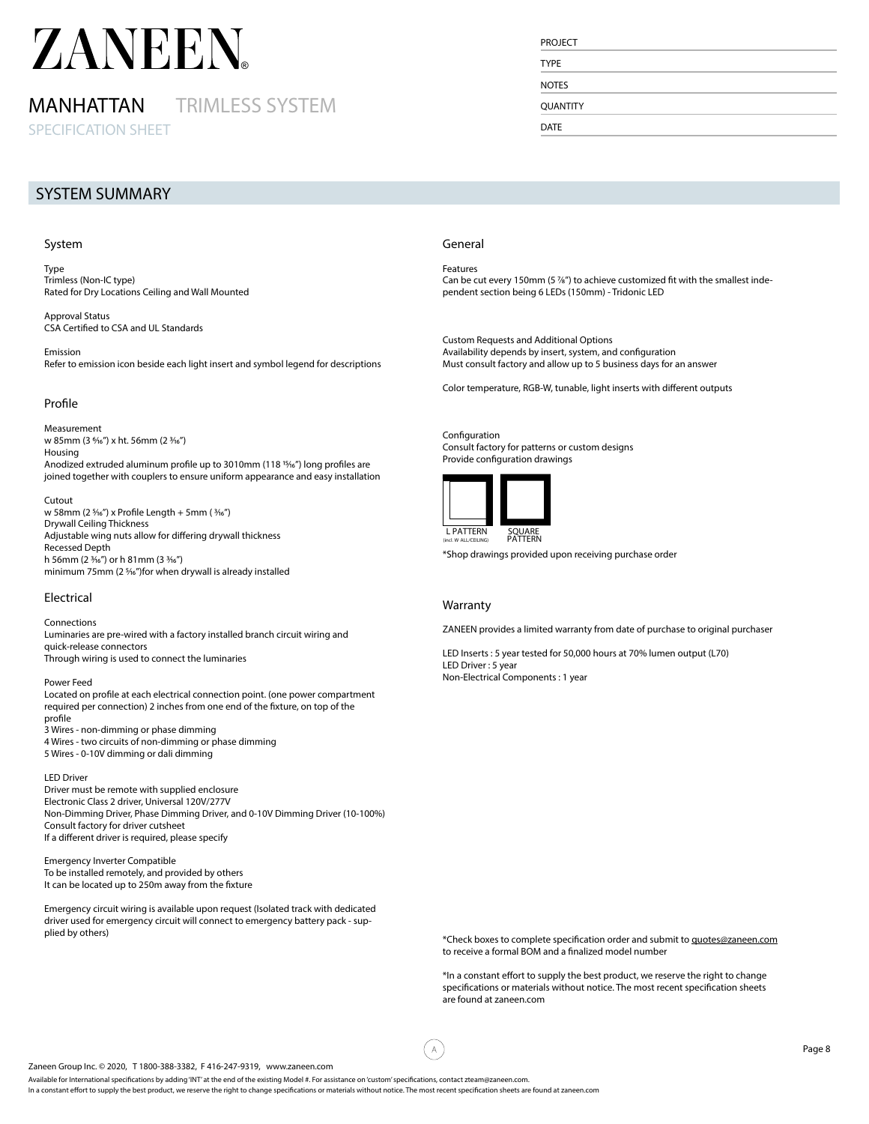### MANHATTAN TRIMLESS SYSTEM

SPECIFICATION SHEET

#### SYSTEM SUMMARY

#### System

Type Trimless (Non-IC type) Rated for Dry Locations Ceiling and Wall Mounted

Approval Status CSA Certified to CSA and UL Standards

Emission Refer to emission icon beside each light insert and symbol legend for descriptions

#### Profile

Measurement w 85mm (3 %6") x ht. 56mm (2 %6") Housing Anodized extruded aluminum profile up to 3010mm (118 <sup>15</sup>/16") long profiles are joined together with couplers to ensure uniform appearance and easy installation

#### Cutout

w 58mm (2 %6") x Profile Length + 5mm ( %6") Drywall Ceiling Thickness Adjustable wing nuts allow for differing drywall thickness Recessed Depth h 56mm (2  $\frac{3}{16}$ ") or h 81mm (3  $\frac{3}{16}$ ") minimum 75mm (2 %6")for when drywall is already installed

#### Electrical

#### Connections

Luminaries are pre-wired with a factory installed branch circuit wiring and quick-release connectors Through wiring is used to connect the luminaries

#### Power Feed

Located on profile at each electrical connection point. (one power compartment required per connection) 2 inches from one end of the fixture, on top of the profile

3 Wires - non-dimming or phase dimming

4 Wires - two circuits of non-dimming or phase dimming

5 Wires - 0-10V dimming or dali dimming

#### LED Driver

Driver must be remote with supplied enclosure Electronic Class 2 driver, Universal 120V/277V Non-Dimming Driver, Phase Dimming Driver, and 0-10V Dimming Driver (10-100%) Consult factory for driver cutsheet If a different driver is required, please specify

Emergency Inverter Compatible To be installed remotely, and provided by others It can be located up to 250m away from the fixture

Emergency circuit wiring is available upon request (Isolated track with dedicated driver used for emergency circuit will connect to emergency battery pack - supplied by others)

#### General

Features Can be cut every 150mm (5 %") to achieve customized fit with the smallest independent section being 6 LEDs (150mm) - Tridonic LED

Custom Requests and Additional Options Availability depends by insert, system, and configuration Must consult factory and allow up to 5 business days for an answer

Color temperature, RGB-W, tunable, light inserts with different outputs

Configuration Consult factory for patterns or custom designs Provide configuration drawings



\*Shop drawings provided upon receiving purchase order

#### Warranty

 $\bar{\mathsf{A}}$ 

ZANEEN provides a limited warranty from date of purchase to original purchaser

LED Inserts : 5 year tested for 50,000 hours at 70% lumen output (L70) LED Driver : 5 year Non-Electrical Components : 1 year

\*Check boxes to complete specification order and submit to quotes@zaneen.com to receive a formal BOM and a finalized model number

\*In a constant effort to supply the best product, we reserve the right to change specifications or materials without notice. The most recent specification sheets are found at zaneen.com

#### Zaneen Group Inc. © 2020, T 1800-388-3382, F 416-247-9319, www.zaneen.com

Available for International specifications by adding 'INT' at the end of the existing Model #. For assistance on 'custom' specifications, contact zteam@zaneen.com.

In a constant effort to supply the best product, we reserve the right to change specifications or materials without notice. The most recent specification sheets are found at zaneen.com

### PROJECT TYPE

**NOTES** 

**OUANTITY** 

DATE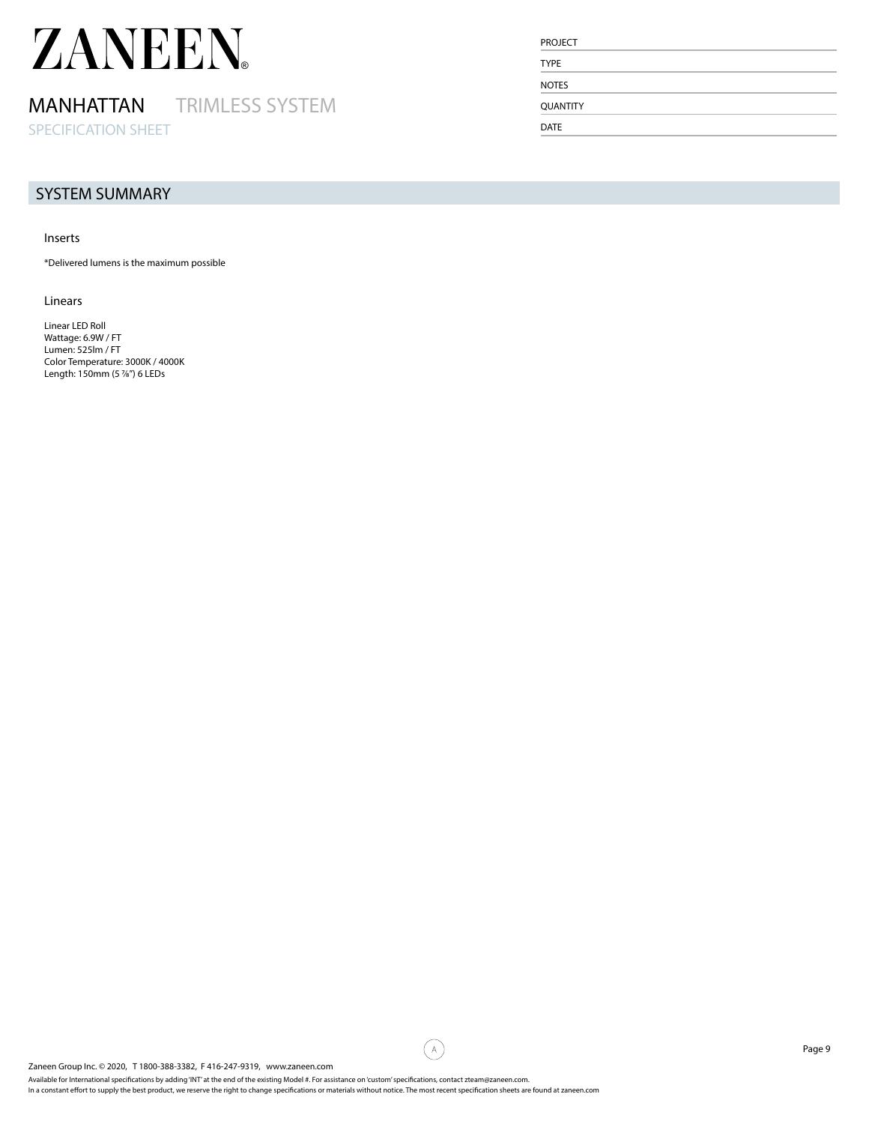### MANHATTAN TRIMLESS SYSTEM

SPECIFICATION SHEET

#### SYSTEM SUMMARY

#### Inserts

\*Delivered lumens is the maximum possible

#### Linears

Linear LED Roll Wattage: 6.9W / FT Lumen: 525lm / FT Color Temperature: 3000K / 4000K Length: 150mm (5 7/8") 6 LEDs

| <b>PROJECT</b>  |  |  |
|-----------------|--|--|
| <b>TYPE</b>     |  |  |
| <b>NOTES</b>    |  |  |
| <b>QUANTITY</b> |  |  |
| <b>DATE</b>     |  |  |

G)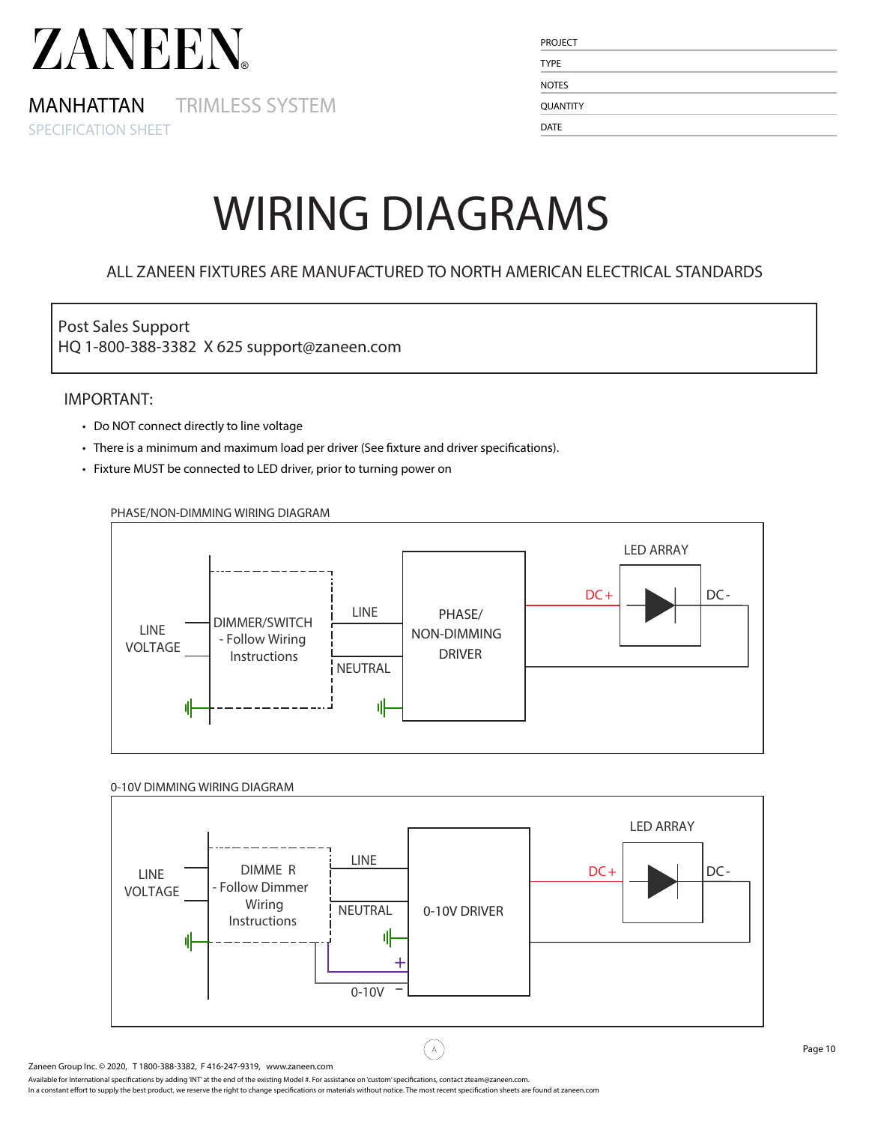MANHATTAN TRIMLESS SYSTEM SPECIFICATION SHEET

| <b>PROJECT</b>  |  |  |
|-----------------|--|--|
| <b>TYPE</b>     |  |  |
| <b>NOTES</b>    |  |  |
| <b>QUANTITY</b> |  |  |
| <b>DATE</b>     |  |  |

## WIRING DIAGRAMS

### ALL ZANEEN FIXTURES ARE MANUFACTURED TO NORTH AMERICAN ELECTRICAL STANDARDS

### Post Sales Support

HQ 1-800-388-3382 X 625 support@zaneen.com

#### IMPORTANT:

- Do NOT connect directly to line voltage
- There is a minimum and maximum load per driver (See fixture and driver specifications).
- Fixture MUST be connected to LED driver, prior to turning power on



#### PHASE/NON-DIMMING WIRING DIAGRAM

#### 0-10V DIMMING WIRING DIAGRAM



 $\bar{\mathsf{A}}$ 

Available for International specifications by adding 'INT' at the end of the existing Model #. For assistance on 'custom' specifications, contact zteam@zaneen.com.